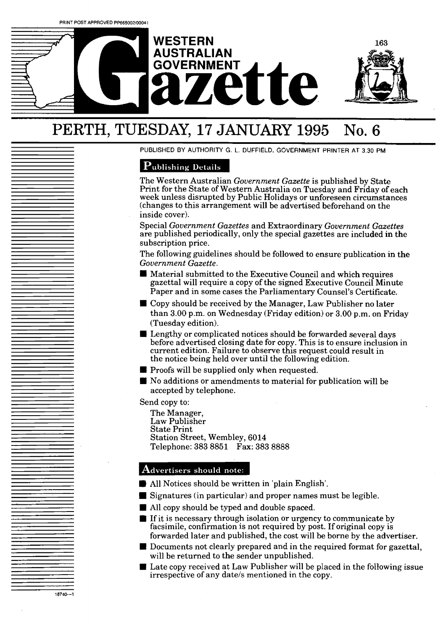



# PERTH, TUESDAY, **17 JANUARY 1995** No. **6**

PUBLISHED BY AUTHORITY G. L. DUFFIELD, GOVERNMENT PRINTER AT 3.30 PM

## Publishing Details

The Western Australian *Government Gazette* is published by State Print for the State of Western Australia on Tuesday and Friday of **each**  week unless disrupted by Public Holidays or unforeseen circumstances (changes to this arrangement will be advertised beforehand on the inside cover).

Special *Government Gazettes* and Extraordinary *Government Gazettes*  are published periodically, only the special gazettes are included **in** the subscription price.

The following guidelines should be followed to ensure'publication in the *Government Gazette.* 

- **Material submitted to the Executive Council and which requires** gazettal will require a copy of the signed Executive Council Minute Paper and in some cases the Parliamentary Counsel's Certificate.
- Copy should be received by the Manager, Law Publisher no later than 3.00 p.m. on Wednesday (Friday edition) or 3.00 p.m. on Friday (Tuesday edition).
- **E** Lengthy or complicated notices should be forwarded several days before advertised closing date for copy. This is to ensure inclusion in current edition. Failure to observe this request could result in the notice being held over until the following edition.
- **Proofs will be supplied only when requested.**
- No additions or amendments to material for publication will be accepted by telephone.

Send copy to:

18740-1

The Manager, Law Publisher State Print Station Street, Wembley, 6014 Telephone: **383** 8851 Fax: **383** 8888

## Advertisers should note:

- All Notices should be written in 'plain English'.
- Signatures (in particular) and proper names must be legible.
- **W** All copy should be typed and double spaced.
- **If** If it is necessary through isolation or urgency to communicate by facsimile, confirmation is not required by post. If original copy is forwarded later and published, the cost will *be* borne by the advertiser.
- **D** Documents not clearly prepared and in the required format for gazettal, will be returned to the sender unpublished.
- Late copy received at Law Publisher will be placed in the following issue irrespective of any date/s mentioned in the copy.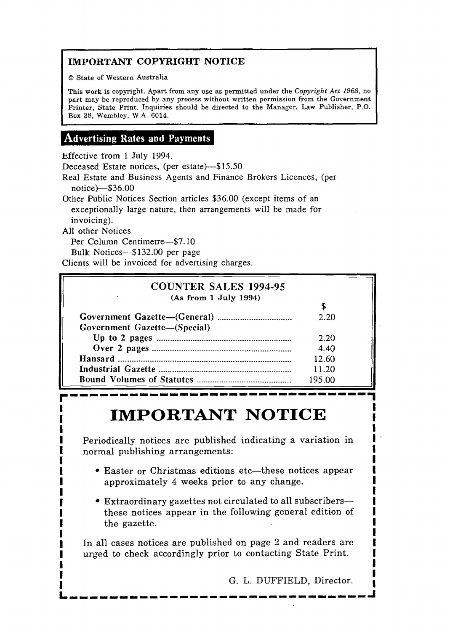## **IMPORTANT COPYRIGHT NOTICE**

O State of Western Australia

**This work** is copyright. **Apart** from any use as permitted under the Copyright *Act* 1968, **no part** may be reproduced by any process without written permission **from** the Government Printer, State Print. Inquiries should be directed to the **Manager,** Law Publisher, **P.O.**  Box **38,** Wembley, W.A. 6014.

## Advertising Rates and Payments

Effective from 1 July 1994.

Deceased Estate notices, (per estate)-\$15.50

Real Estate and Business Agents and Finance Brokers Licences, (per notice)-\$36.00

Other Public Notices Section articles \$36.00 (except items of an exceptionally large nature, then arrangements will be made for invoicing).

**All** other Notices

Per Column Centimetre-\$7.10

Bulk Notices-\$132.00 per page

Clients will be invoiced for advertising charges.

| (As from 1 July 1994)        |        |  |  |
|------------------------------|--------|--|--|
|                              |        |  |  |
|                              | 2.20   |  |  |
| Government Gazette-(Special) |        |  |  |
|                              | 2.20   |  |  |
|                              | 4.40   |  |  |
|                              | 12.60  |  |  |
|                              | 11.20  |  |  |
|                              | 195.00 |  |  |

## **IMPORTANT NOTICE I INIL ONELLY IVOITOLE**

Periodically notices are published indicating a variation in **1** normal publishing arrangements: **I <sup>f</sup>I** 

- **1** Easter or Christmas editions etc-these notices **appear 1**  approximately 4 weeks prior to any change.
- Extraordinary gazettes not circulated to all subscribers-**<sup>I</sup>**these notices appear in the following general edition of **1 I** the gazette. **I**

I I 1 **1** In all cases notices are published on page 2 and readers are **I** urged to check accordingly prior to contacting State Print. **I** 

**I 1** 

**G. L. DUFFIELD, Director.**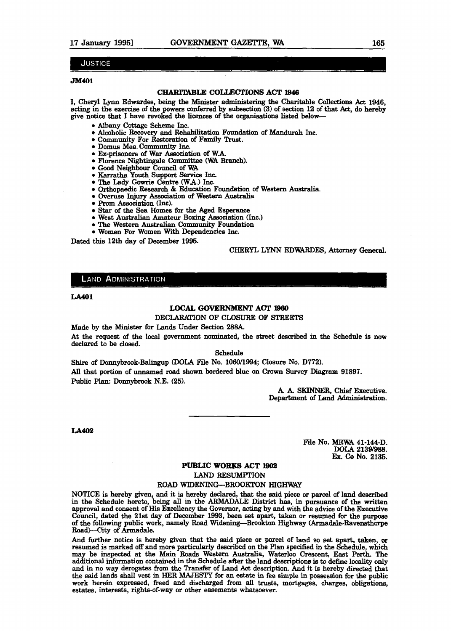#### JUSTICE

#### **m401**

#### CHARITABLE **COU,ECTIONS** ACT **1948**

I, Cheryl **Lynn** Edwardes, **being** the Minister **adminintering** the Charitable **Collections Act 1946,**  acting in the exercise of the **powers** conferred by subsection (3) of section 12 of that **Act,** do hereby give notice that I have revoked the licences of the organisations liated below-

- \* **Albany** Cottage Scheme Inc.
- Alcoholic Recovery and Rehabilitation Foundation of **Msndurah** Inc.
- Community For Restoration of Family Trust.
- Domus Mea Community Inc.
- Ex-prisoners of War Association of WA
- Florence Nightingale Committee **(WA** Branch).
- **Good** Neighbow Council of **VIA**
- Karratha Youth Support Service Inc.
- **The** Lady Gowrie Centre WAJ Inc.
- Orthopaedic **Research** & Education Foundation of Western Australia.
- Overuse Injury Association of Western Australia
- Prom Association (Inc).
- Star of the Sea Homes for the Aged Esperance
- West Australian Amateur Boxing Association (Inc.)
- The Western **Australian** Community Foundation
- Women For Women With Dependencies Inc.

Dated this 12th day of December 1996.

#### **CHERYL LYNN EDWARDES, Attorney General.**

#### **LAND ADMINISTRATION**

#### **LA401**

#### **LOCAL GOVERNMENT ACT 1960**

DECIAR&FION OF CLOSURE OF **STREETS** 

Made by the Minister for **Lands** Under Section 288A.

At the request of the local government nominated, the street described in the Schedule is now declared to be closed.

Schedule

Shire of Donnybrook-Balingup (DOLA File No. 1060/1994; Closure No. D772). *All* that portion of unnamed road shown bordered blue on Crown **Survey** Diagram 91897. Public Plan: Donnybrook N.E. (25).

> A. A. **SKINNER,** Chief **Executive.**  Department of Land Administration.

**LA402** 

File No. **MRWA** 41-144-D. **DOLA 21391988. Ex. CO** No. 2135.

#### **PUBLIC WORKS ACT 1902**

**LAND** RESUMPTION

#### ROAD WIDENING-BROOKTON **HIGHWAY**

NOTICE is hereby given, and it is hereby declared, that the said piece or parcel of land **deecribed**  in the Schedule hereto, being **all** in the **ARMADALE Dietrid has,** in pursuance of the **written**  approval and conaent of **His** Excellency the Governor, ading by and with the **advice** of the Ekecutive Council, dated the 21st day of December 1993, been set apart, taken or resumed for the purpose of the following public work, namely Road Widening--Brookton **Highway** (Armadale-Ravwthorpe Road)—City of Armadale.

And further notice is hereby given that the **said** piece or parcel of land so **set** apart, **taken, or**  resumed is marked off and more particularly described on the **Plan** specified in the Schedule, **wbich**  may be inspected at the **Main** Roads Western Australia, Waterloo Crescent, East Perth. The additional information contained in the Schedule after the **land** demiptions is to define localitp only and in no **way** derogates from the Transfer of Land Act description. And it is hereby directed **that**  the said lands shall **vest** in HER **MAJESTY** for an **estate** in fee simple in possession for the **public**  work herein expressed, freed **and** discharged from all **trusts,** mortgages, chargea, obligations, estates, interests, rights-of-way or other easements whatsoever.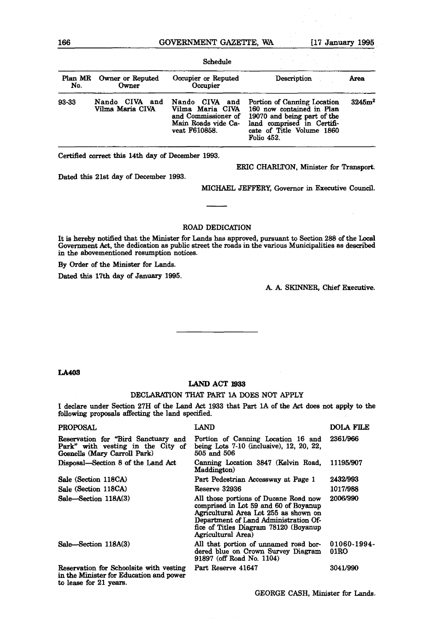#### **166 GOVERNhlENT GAZETTE, WA 117 January** 1995

|                |                                    | Schedule                                                                                          |                                                                                                                                                                  |                    |
|----------------|------------------------------------|---------------------------------------------------------------------------------------------------|------------------------------------------------------------------------------------------------------------------------------------------------------------------|--------------------|
| Plan MR<br>No. | Owner or Reputed<br>Owner          | Occupier or Reputed<br>Occupier                                                                   | Description                                                                                                                                                      | Area               |
| 93-33          | Nando CIVA and<br>Vilma Maria CIVA | Nando CIVA and<br>Vilma Maria CIVA<br>and Commissioner of<br>Main Roads vide Ca-<br>veat F610858. | Portion of Canning Location<br>160 now contained in Plan<br>19070 and being part of the<br>land comprised in Certifi-<br>cate of Title Volume 1860<br>Folio 452. | 3245m <sup>2</sup> |

Certified correct this 14th day of December 1993.

ERIC CHARLTON, Minister for Transport.

Dated this 21st day of December 1993.

MICHAEL JEFFERY, Governor in Executive Council.

#### **ROAD** DEDICATION

It is **hereby** notified that the Minister for **Lands** has approved, pursuant to Section 288 of the Government **Act,** the dedication as public street the roads in the various Municipalities as described in the abovementioned resumption notices.

By Order of the Minister for Lands.

**Dated thie 17th** day of **January** 1995.

**A. A. SKINNER,** Chief Executive.

#### **LA403**

#### LAND ACT 1933

#### DECLdlRNION THAT PART **1A DOES** NOT APPLY

**I** declare under Section 27H of the Land **Act** 1933 that Part **1A** of the **Am** does not apply **to** the following proposals affecting the land specified.

| <b>PROPOSAL</b>                                                                                          | LAND                                                                                                                                                                                                                             | <b>DOLA FILE</b>       |
|----------------------------------------------------------------------------------------------------------|----------------------------------------------------------------------------------------------------------------------------------------------------------------------------------------------------------------------------------|------------------------|
| Reservation for "Bird Sanctuary and<br>Park" with vesting in the City of<br>Gosnells (Mary Carroll Park) | Portion of Canning Location 16 and<br>being Lots $7-10$ (inclusive), 12, 20, 22,<br>505 and 506                                                                                                                                  | 2361/966               |
| Disposal—Section 8 of the Land Act                                                                       | Canning Location 3847 (Kelvin Road, 11195/907<br>Maddington)                                                                                                                                                                     |                        |
| Sale (Section 118CA)                                                                                     | Part Pedestrian Accessway at Page 1                                                                                                                                                                                              | 2432/993               |
| Sale (Section 118CA)                                                                                     | Reserve 32936                                                                                                                                                                                                                    | 1017/988               |
| Sale-Section 118A(3)                                                                                     | All those portions of Ducane Road now<br>comprised in Lot 59 and 60 of Boyanup<br>Agricultural Area Lot 255 as shown on<br>Department of Land Administration Of-<br>fice of Titles Diagram 78120 (Boyanup)<br>Agricultural Area) | 2006/990               |
| Sale-Section 118A(3)                                                                                     | All that portion of unnamed road bor-<br>dered blue on Crown Survey Diagram<br>91897 (off Road No. 1104)                                                                                                                         | $01060 - 1994$<br>01RO |
| Reservation for Schoolsite with vesting                                                                  | Part Reserve 41647                                                                                                                                                                                                               | 3041/990               |

in the Minister for Education and power **to** lease for 21 yeare.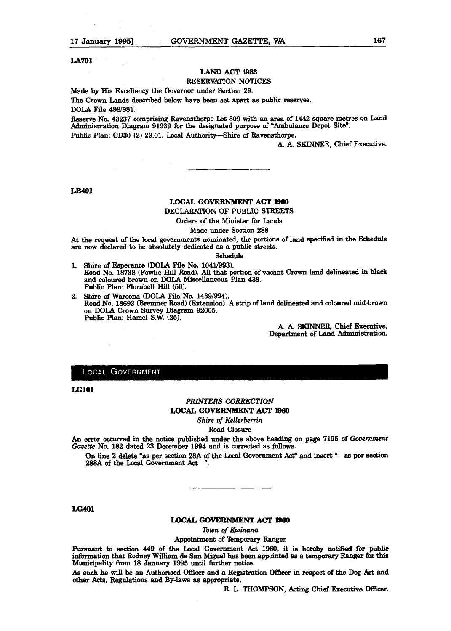#### **LA701**

## **LAND** ACT **lSSS**

#### RESERVATION NOTICES

Made by His Excellency the Governor under Section 29.

The Grown **Lands** described below have **been** set apart as public reaervee.

**DOLA** File 4981981.

Reserve No. 43237 comprising Ravenstharpe I& 809 with an **area** of **1442 square metres on Land**  ation **Diagram** 91939 for the designated purpose of "Ambulance Depot **Site".**  Public Plan: CD30 (2) 29.01. Local Authority-Shire of Ravensthorpe.

G A. SKINNER, **Chief** Executive.

#### LB401

#### **LOCAL GOVERNMENT ACT 1960**

DECLARATION OF **PUBLIC** STREETS

Orders of the Minister for **Lands** 

Made under Section 288

At the request of the local governments nominated, the portions **of** land specified in the Schedule are now declared to be absolutely dedicated **as** a public **atreeta** 

#### Schedule

- 1. Shire of Esperance (DOLA File No. 1041/993). Road No. 18738 (Fowlie Hill Road). **AU** that portion of vacant Crown land delineated in black and coloured brown on DOLA **Miscellaneous** Plan 439. Public Plan: Florabell Hill (50).
- 2. Shire of **Waroona** (DOLA F'ile No. 14391994). Road No. 18693 (Bremner Road) (Extension). A strip of land delineated and coloured **mid-brown**  on **DOLA** Crown Survey Diagram 92005. Public Plan: Hamel S.W. (25).

A. A. SKINNER, Chief Executive, Department of Land Adminietration.

#### **LOCAL GOVERNMENT**

**LG101** 

#### **PRINTERS CORRECTION LOCAL GOVERNMENT ACT 1980**

*Shire of &llerbemn* 

Road Closure

An error occurred in the notice published under the above heading on page 7105 of *Government* **Gazette** No. 182 dated 23 December 1994 and **is corrected as** follows.

On line 2 delete "as per section 28A of the Local Government Act" and insert "as per section **288A** of the Local Government **Act** ".

**LG401** 

#### **LOCAL GOVERNMENT ACT 1960**

*lbwn of Kwinana* 

Appointment of **'lbmporarg** Ranger

Pursuant to section 449 of the Local Government Act 1960, it is hereby notified for public information that Rodney William de **San Miguel lms been** appointed **as** a temporary Ranger **for** this Municipality km 18 **January** 1995 **until fivtber** notice.

As such he will be an Authorised Officer and a Registration Officer in respect of the Dog Act and other Acts, Regulations and By-laws **as** appropriate.

R. L. THOMPSON, Acting Chief **Executive Officer.**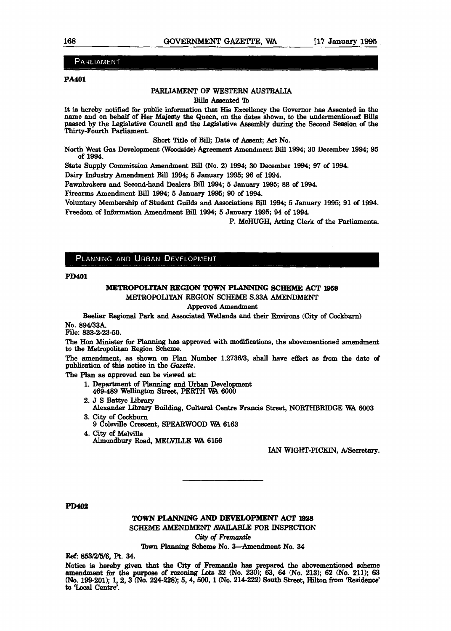#### **PARLIAMENT**

#### **FA401**

#### **PARLIAMENT** OF WESTERN AUSTRAUA

**Bills** Assented 'Ib

It **is** hereby notified for public information that **Hie** Excellency the kernor has **Assented** in **the name and** on **behalf** of Her **Majegty** the **Queen,** on the dates shown, to the undermentioned Bills passed by the Legislative Council and the Legislative Assembly during the Second Session of the Thirty-Fourth **Parliament.** 

Short Title of Bill; Date of Assent; **Act** No.

**North West Gas** Development (Woodside) Agreement Amendment Bill 1994; 30 December 1994; 96 of 1994.

State Supply Commission Amendment Bill (No. 2) 1994; 30 December 1994; 97 of 1994.

**Daiq** Industry Amendment Bill 1994, 5 **January** 1995; 96 **of** 1994.

Pawnbrokers **and Second-hand** Dealers Bill 1994; 5 **Jmuary** 1996; 88 of 1994.

Firearms Amendment **Bill** 1994; 5 **January** 1996; 90 of 1994.

Voluntary Membership of Student Guilds **and** Aseociations Bill 1994; 5 Jamary 1995; 91 of 1994. Freedom of Information Amendment Bill 1994; 5 January 1995; 94 of 1994.

P. McHUGH, Acting Clerk of the Parliaments.

#### PLANNING AND URBAN DEVELOPMENT

**PD401** 

#### **METROPOLITAN REGION TOWN PLANNING SCHEME ACT 1959**

METROPOLITAN REGION SCHEME S.33A AMENDMENT

Approved Amendment

**Beeliar** Regional **Park** and Associated Wetlands and their Environs **(City** of **Cockbum)**  No. 894/33A.

File: 833-2-23-50.

The Hon Minister for **Planning has** approved with modifications, the abovementioned amendment **to** the **Metropolitan** Region Scheme.

The amendment, **as** shown on Plan Number 1.2736/3, shall have effect **as from** the **date** of publication of this notice in the Gazette.

The **Plan as** approved **can** be viewed at:

- l. Department of *manning* **and** Urban Development 469489 Wellington Street, PERTH WA 6000
- 2. **J** S Battye Library
- Alexander Library Building, **Cultural** Centre **kancis Street,** NORWBRIDGE **K4** <sup>6003</sup> 3. City of **Cockburn**

9 Coleville Crescent, SPEARWOOD WA 6163

4. **City** of **Melville**  Almondbury **Road, MELVIUE** WA 6166

IAN WIGHT-PICKIN, A/Secretary.

**PD402** 

#### **TOWN PLANNING AND DEVELOPMENT ACT 1928**

SCHEME **AMENDMENT** AVAILABLE FOR INSPECTION

**City of Fremantle** 

**Town** *manaing* **Scheme** No. **3-Amendment** No. 34

**Ref:** M3/2/5/6, Pt. 34.

Notice is hereby given that the City of Fremantle has prepared the abovementioned schement amendment for the purpose of rezoning Lots 32 (No. 230); 63, 64 (No. 213); 62 (No. 211); 63 (No. 199-201); 1, 2, 3 (No. 224-228); 5, 4, 500, 1 (No. 214-222) South Street, Hilton from 'Residence' to 'Local Centre'.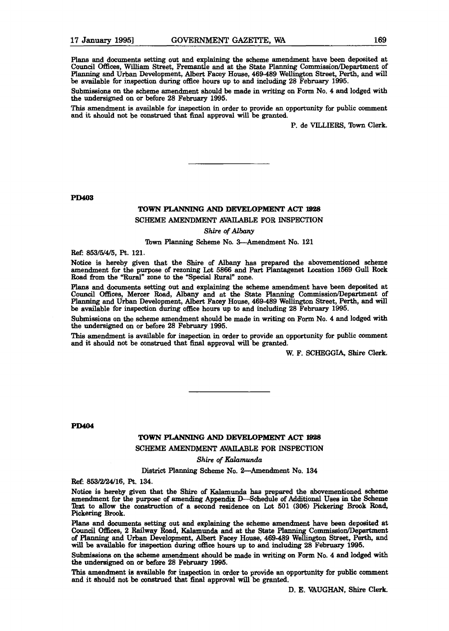Plans and documents setting out and explaining the scheme amendment have been deposited at Council Offices, William Street, Fremantle and at the State Planning Commission/Department of **Planning and** Urban Development, Albert Facey House, **469489** Wellington Street, Perth, **and** will be available for inspection during office hours up to and including 28 February **1995.** 

Submissions on the scheme amendment should be made in writing on Form No. 4 and lodged with the undersigned on or before 28 February 1995.

This amendment is available for inspection in order to provide an opportunity for public comment and it **should** not be construed that **fiaal** approval will be **granted.** 

P. de VILLIERS, **Town** Clerk.

**PD403** 

#### **TOWN PLANNING AND DEVELOPMENT** ACT **1928**

#### SCHEME **AMENDMENT AVAILABLE** FOR INSPECTION

#### *Shire of Albany*

#### Town **Planning** Scheme No. 3-Amendment No. **121**

**R&** 853/5/4/5, Pt. **121.** 

Notice is hereby given that the Shire of Albany has prepared the abovementioned scheme amendment for the purpose of rezoning Lot **5866** and Part Plantagenet Location **1569 Gull Rock**  Road from the "Rural" zone to the "Special Rural" zone.

Plans and documents setting out and explaining the scheme amendment have been deposited at Council Offices, Mercer Road, Albany and at the State Planning Commission/Department of Planning and Urban Development, Albert Facey House, 469-489 Wellington Street, Perth, and will be available for inspection during office houra up to and including 28 February **1995.** 

Submiseione on the scheme amendment should be made in writing on Form No. **4 and** lodged **with**  the undersigned on or before **28** February **1995.** 

**This** amendment is available for inspection in order to provide an opportunity for public comment and it should not be construed that final approval will be granted.

W. F. **SCHEGGIA,** Shire Clerk.

**PD404** 

#### TOWN **PLANNJNG AND DEVELOPMENT ACT l928**

#### **SCHEME AMENDMENT AVAILABLE** FOR INSPECTION

#### Shire **of** *Kalamundu*

District Planning Scheme No. 2-Amendment No. 134

**R& 853/2/24/16, Pt. 134.** 

Notice is hereby given that the **Shire** of **Kalamunda has** prepared the abovementioned echeme amendment for the purpose of amending Appendix Mchedule **of** Additional Uses **in the** Scheme **W to** allow **the** construction of a second residence on ZIot **501 (306) Pick- Brook** Road, Pickering **Brook.** 

Plans and documents setting out and explaining the scheme amendment have been deposited at Council Offices, 2 Railway Road, Kalamunda and at the State Planning Commission/Department **of** Flaming **and Urban** Development, Albert Facey House, **469-489 Wellington** Street, **P&** and will be available for inspection during office hours up to and including 28 February 1995.

**Submission~ on** the **scheme amendment** should be made in writing **on Form** No. 4 **and** lodged with **the** undersigned on or before 28 February 1995.

**Thie** amendment **ia available** for inspection in order to provide **an** opportunity for public comment and it should not be construed that final approval will be granted.

D. E. VAUGHAN, Shire Clerk.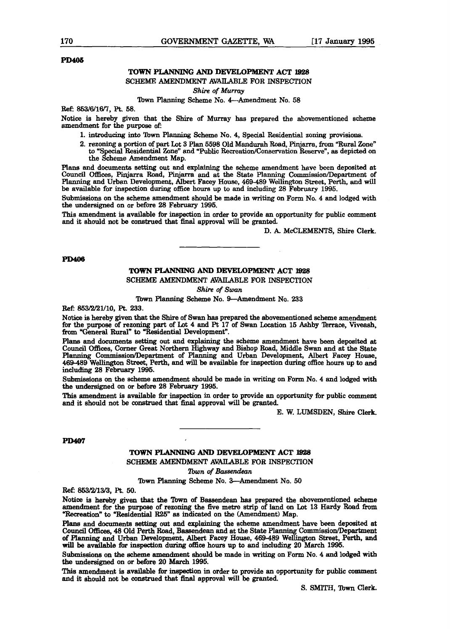#### **PD405**

## **TOWN PLANNING AND DEVELOPMENT ACT 1928**

SCHEME AMENDMENT AVAILABLE FOR INSPECTION

Shire **of** *Murmy* 

#### Town Planning Scheme No. 4-Amendment No. 58

**Ref:** 863/6/16/7, **R.** 68.

Notice is hereby given that the Shire of Mutray **has** prepared the abovementioned scheme amendment for the purpose of:

- 1. introducing into Town *manniag* Scheme No. 4, Special Residential **zoning** provisions.
- 2. rezoning a portion of part Lot 3 Plan 6698 Old Mandurah Road, Piqjarra, **from** "Rural Zone" to **"Special** Residential Zone" and "Public Recreation/Consemation Reserven, **as** depicted on the Scheme Amendment Map.

Plans and documents setting out and explaining the scheme amendment have been deposited at **Council** Offices, **Piqjarra** Road, Piqlarra and at the **State** Planning Commission/Department of Planning and Urban Development, **Albert** Facey **House,** 469-489 Wellington Street, Perth, and will be available for inspection during office hours up to and including 28 February 1995.

Submissions on the scheme amendment should be made in **writing** on Form No. 4 and lodged with the undersigned on or before 28 February 1996.

**This** amendment is available for inspection in order to provide an opportunity for public **comment**  and it should not be construed that final approval will be granted.

D. **k** McCLEMENTS, Shire Clerk.

#### **PD406**

#### **TOWN PLANNING AND DEVELOPMENT ACT 1928**

SCHEME **AMENDMENT** AVAILABLE FOR INSPECTION

**Shire of** Swan

Town Planning Scheme No. 9-Amendment No. 233

Ref: 853/2/21/10, Pt. 233.

**Notice** is hereby given that the Shire of Swan **has** prepared the abovementioned scheme amendment for the purpose of rezoning part of Lot 4 and Pt 17 of Swan Location 15 Ashby Terrace, Viveash, from "General Rural" to "Residential Development".

Plane and documents **setting** out and explaining the scheme amendment have been deposited at Council OBtices, Corner Great Northern Highway and Biahop Road, Middle Swan and at the **State Planning** Commission/Department of **Planning** and Urban Development, **Albert** Facey **House, 469-489** Wellington Street, Perth, and will be available for inspection during **office** hours up to and including 28 February **1995.** 

Subrniesions on the scheme amendment should be made in writing on Form No. 4 and lodged **with the** undersigned on or before 28 February **1995.** 

This amendment is available for inspection in order to provide an opportunity for public comment and it should not be construed that **final** approval will be **granted.** 

E. **W.** LUMSDEN, Shire Clerk.

#### **PD407**

**TOWN PLANNING AND DEVELOPMENT ACT 1928 SCHEME AMENDMENT** AVAILABLE FOR INSPECTION

*lbwn* of *Bassendean* 

Town **F'lanninp Scheme** No. 3-Amendment No. **50** 

**Ref: 853/2/13/3,** Pt. **60.** 

Notice **is** hereby given that **the 'Ibm** of Bamendean **has** prepared the abovementioned scheme amendment for the purpose **af** rezoning the five metre strip of land on bt 13 **Hardy Road** from "Recreation" to "Residential R25" as indicated on the (Amendment) Map.

**F'lans** and documents **setting** out and **explaining** the scheme amendment **have** been deposited at of Planning and Urban Development, Albert Facey House, 469-489 Wellington Street, Perth, and will be available for inspection during office hours up to and including 20 March 1995.

Submissions on the **echeme** amendment should be made in **writing** on Form No. 4 and lodged with **the** mdersigned on or before **20 March** 1996.

This amendment is available for inspection in order to provide an opportunity for public comment **and** it should not be construed that final approval will be granted.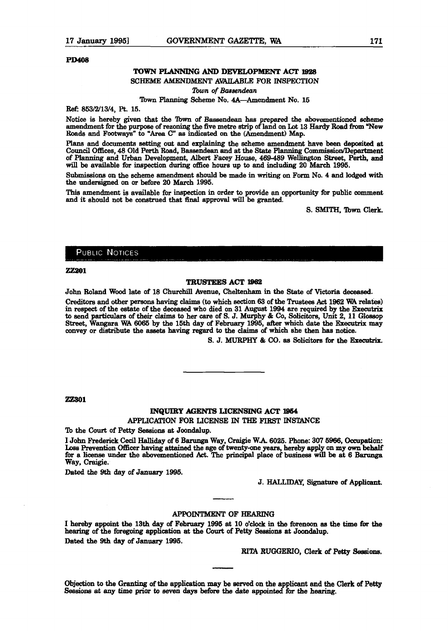#### **PD408**

#### **TOWN PLANNING AND DEVELOPMENT ACT 1928**

#### SCHEME AMENDMENT AVAILABLE FOR INSPECTION

*Ilbwn* **of** *Bassendean* 

#### Town Planning Scheme No. 4A-Amendment No. 15

**R&** 853/2/13/4, Pt. 15.

Notice **is** hereby given that the **'Ibm** of Baeeendean **hae** prepared the abovementioned scheme amendment for the purpose of rezoning the five metre strip of land on Lot 13 Hardy Road from "New **Roade** and Footways\* to "Area C" **ae** indicated on the (Amendment) **Map.** 

Plans and documents setting out and explaining the scheme amendment have been deposited at Council Offices, 48 Old Perth Road, Bassendem and at **the Slate** *manning* CommiseioalDepmtment of Planning and Urban Development, **Albert Facey** House, **469-489** W-n bt, Perth, and will be available for inspection during office hours up to and including 20 March 1995.

Submlssiona on the scheme amendment should be made in **writing** on Form No. 4 and lodged with the undersigned on or before 20 March 1995.

**This** amendment **ie** available for inspection in order to provide an opportuniq for public **comment**  and it should not be construed that final approval will be granted.

**S. SMITH, 'Ibwn clerk.** 

#### **PUBLIC NOTICES**

#### **7.7.201**

#### **TRUSTEES ACT l862**

John Roland Wood late of 18 Churchill Avenue, Cheltenham in the State of Victoria deceased.

**Creditors** and **other** persons **having claims (to** which aection 63 of the 'huabxs **Act** 1962 **WA relate91**  in respect of the estate of the **deceaeed** who died on 31 August 1994 are required by the **Ekecutrix**  to send **particulars** of their dnimn to **her** care of S. J. Murphy & CO, **Solicitore,** Unit 2, **11 Gloasop**  Street, Wangara WA **6066** by the 15th day of February 1996, **after** which date the **Executrix** may convey **or** diatribute the assets **having** regard to the **claim** of which she then **has** notice.

**S. J. MURPHY & CO. as Solicitors for the Executrix.** 

#### **ZZ301**

#### **INQUWY AGENTS LICENSING ACT 1864**

APPLICA!l'ION **FOR** LICENSE IN **THE FIRST INSTANCE** 

To the Court of Petty Sessions at Joondalup.

I John Frederick **Cecil** Halliday of 6 Barunga Way, Craigie W.A. **6026.** Phone: 307 6966, Occupation: **Lase** Prevention **Officer having** attained **the** age **of** twenq-one **yeara,** hereby apply **on** my own **behalf for** a licenee **under** the abovementioned Act. **The** principal place of buainess will be at 6 **Bamnga**  Way, Craigie.

Dated the 9th day of **January** 1995.

**J. HALLIDAY, Signature of Applicant.** 

#### **APPOINTMENT OF HEARING**

**I hereby** appoint **the** 13th day **of February** 1995 **at 10 o'clock in the** forenoon **aa** the **time far the**  hearing of the foregoing application at the Court of Petty Sessions at Joondalup. Dated the 9th day of January 1995.

**RITA RUGGERIO, Clerk of Petty Sessions.** 

**Objection** to the **Granting** of **the** appliattion my be **served** on tbe a **plicant and the Clerk** of **Petty**  Sessions at any time prior to seven days before the date appointed for the hearing.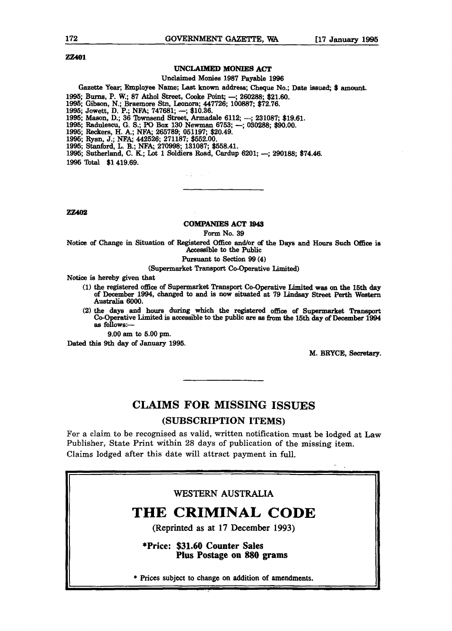**ZZ401** 

#### **UNCLAlMED MONIES** ACT

Unclaimed Monies 1987 Payable 1996

#### Gazette Year; Employee Name; Last known address; Cheque No.; Date issued; \$ amount.

1995; Burns, P. W.; 87 Athol Street, Cooke Point; --; 260288; \$21.60.

1995; Gibson, N.; Braemore Stn, Leonora; 447726; 100887; \$72.76.

1996; Gibson, N.; Braemore Stn, Leonora; 447<br>1995; Jowett, D. P.; NFA; 747681; --; \$10.36.

1996; **Maeon,** D.; 36 Townsend Street, **Armadale** 6112; -; 231087; \$19.61.

1995; Mason, D.; 36 Townsend Street, Armadale 6112; --; 231087; \$19.<br>1995; Radulescu, G. S.; PO Box 130 Newman 6753; --; 030288; \$90.00.

1996; **Reckem,** H. A.; **NFA;** 265789; 05119'l; \$20.49.

1996, **Ryan,** J.; **NFA;** 442526; 271187; \$652.00,

1995, Stanford, L. B.; **NFA;** 270998; 131087; \$558.41.

1995; Sutherland, C. K.; Lot 1 Soldiers Road, Cardup 6201; -; 290188; \$74.46.

 $\mathcal{L}^{\mathcal{L}}(\mathcal{L}^{\mathcal{L}})$  . The  $\mathcal{L}^{\mathcal{L}}$ 

1996 Total \$1 419.69.

ZZ402

#### **COMPANIES** ACT **1843**

**Form** No. 39

Notice of Change in Situation of Registered OEce andlor of the **Days** and Hours **Such Office** is Accessible to the Public

Pursuant to Section 99 (4)

(Supermarket **Transport** Co-operative Limited)

**Notice** is hereby given that

- (1) the registered office of Supermarket Transport Co-Operative Limited was on the 15th day of December 1994, changed to and is now situated at 79 Lindsay Street Perth Western Australia 6000.
- **(2) the dam** and hours during which the registered office **d Supermarket** Tranepd CO-Operative Limited **ie** acceesible to the public are **as fimn** the 15th day of December 1994 **aa** follows:-

9.00 am to 5.00 pm.

Dated this 9th **day** of **Januarg** 1995.

M. BRYCE, Secretary.

## **CLAIMS FOR MISSING ISSUES**

#### **(SUBSCRIPTION ITEMS)**

For a claim to be recognised as valid, written notification **must** be lodged at **Law**  Publisher, State Print within 28 days of publication of the missing item. Claims lodged after this date will attract payment in full.

#### **WESTERN AUSTRALIA**

## **THE CRIMINAL CODE**

**(Reprinted as at 17 December 1993)** 

**\*Price: \$31.60 Counter Sales Plus Postage on 880 grams** 

I \* **Prices subject to change on addition of amendments.**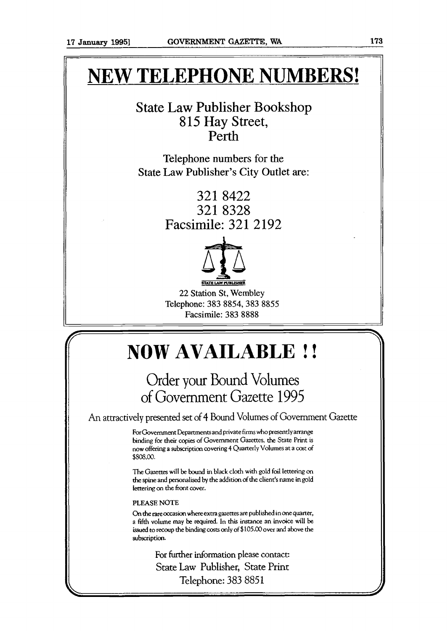# **NEW TELEPHONE NUMBERS!**

## State Law Publisher Bookshop 8 15 Hay Street, Perth

Telephone numbers for the State Law Publisher's City Outlet are:

> 321 8422 321 8328 Facsimile: 321 2192



22 Station St, Wembley Telephone: 383 8854,383 8855 Facsimile: 383 8888

# **NOW AVAILABLE** ! !

## Order your Bound Volumes of Government Gazette 1995

An attractively presented set of 4 Bound Volumes of Government Gazette

For Government Departments and private firms who presently arrange binding for their copies of Government Gazettes, the State Print is **now** offering a subscription covering 4 Quarterly Volumes at a cost **of**  \$sos.oo.

The Gazettes will be **bwnd** in black cloth **with** gold foil lettering **on the** spine and pemnaltsed by **the** addition of **the** client's name in **gold**  lettering **on** the front cover.

#### **PLEASE NOTE**

**On d-ie** rare **occasion where exna gazettes are** published in one **quarter,**  a fifth **volume** may be required. in **this** instance an invoice will **be**  issued to recoup the binding costs only of \$105.00 over and above the subscription.

> For further information please conracr: State Law Publisher, State Print Telephone: 383 8851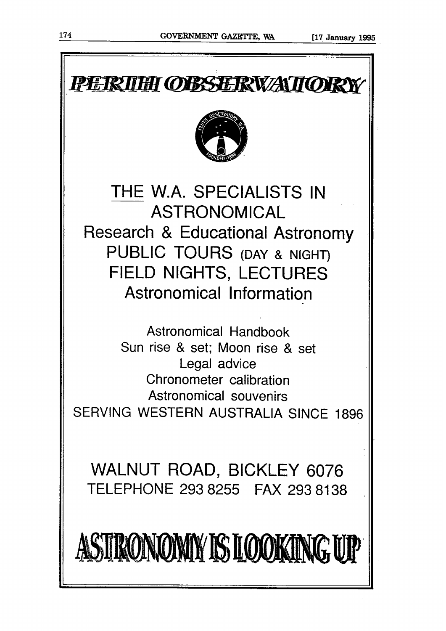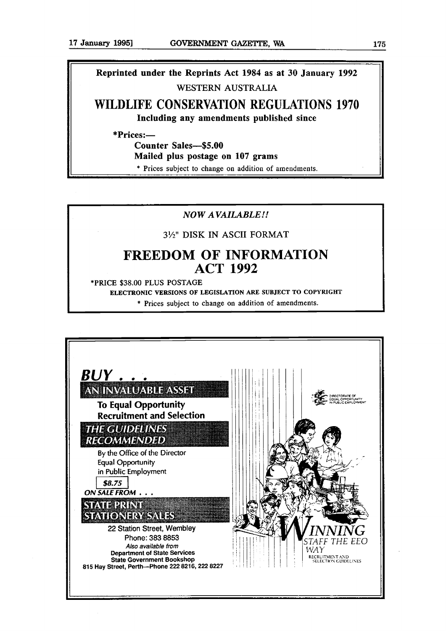**Reprinted under the Reprints Act 1984 as at 30 January 1992 WESTERN AUSTRALIA** 

**WILDLIFE CONSERVATION REGULATIONS 1970 Including any amendments published since** 

**\*Prices:-** 

**Counter Sales-\$5.00** 

**Mailed plus postage on 107 grams** 

**F** \* **Prices subject to change on addition of amendments.** 

## **NOW AVAILABLE!!**

#### **3%" DISK IN ASCII FORMAT**

## **FREEDOM OF INFORMATION ACT 1992**

**\*PRICE \$38.00 PLUS POSTAGE** 

**ELECTRONIC VERSIONS OF LEGISLATION ARE SUBJECT TO COPYRIGHT** 

\* **Prices subject to change on addition of amendments.** 

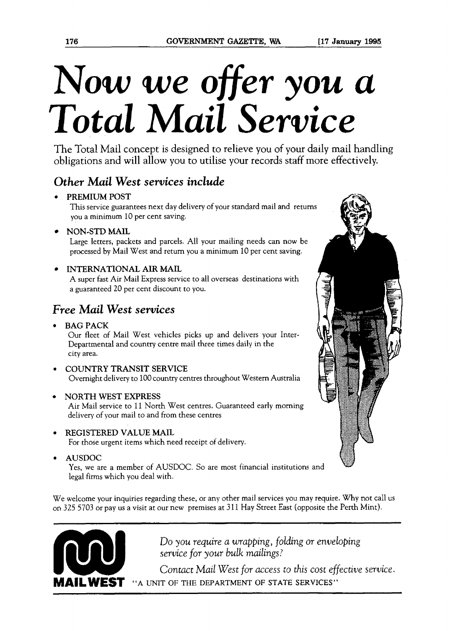# **Now** we *offer* you *a Total Mail* **Service**

The Total Mail concept is designed to relieve you of your daily mail handling obligations and will allow you to utilise your records staff more effectively.

## **Other Mail West services include**

## **PREMIUM POST**

This service guarantees next day delivery of your standard mail and return you a minimum 10 per cent saving.

**NON-STD MAIL** 

Large letters, packets and parcels. All your mailing needs can now be processed by Mail West and return you a minimum 10 per cent saving.

## **INTERNATIONAL AIR MAIL**

A super fast Air Mail Express service to all overseas destinations with a guaranteed 20 per cent discount to you.

## **Free** *Mail* **West services**

**BAG PACK** 

Our fleet of Mail West vehicles picks up and delivers your Inter-Departmental and country centre mail three times daily in the city area.

- **COUNTRY TRANSIT SERVICE**  Overnight delivery to 100 country centres throughout Western Australia
- **NORTH WEST EXPRESS**

Air Mail service to 11 North West centres. Guaranteed early morning delivery of your mail to and from these centres

- **REGISTERED VALUE MAIL**  For those urgent items which need receipt of delivery.
- **AUSDOC**

Yes, we are a member of AUSDOC. So are most financial institutions and legal firms which you deal with.

We welcome your inquiries regarding these, or any other mail services you may require. Why not call us on 325 5703 or pay us a visit at our new premises at 31 l Hay Street East (opposite the Perth Mint).



Do *you require a wrapping, folding or enveloping service for your bulk* mailings?

*Contact Mail West* for *access to this cost* effective *service.* "A UNIT OF THE DEPARTMENT OF STATE SERVICES"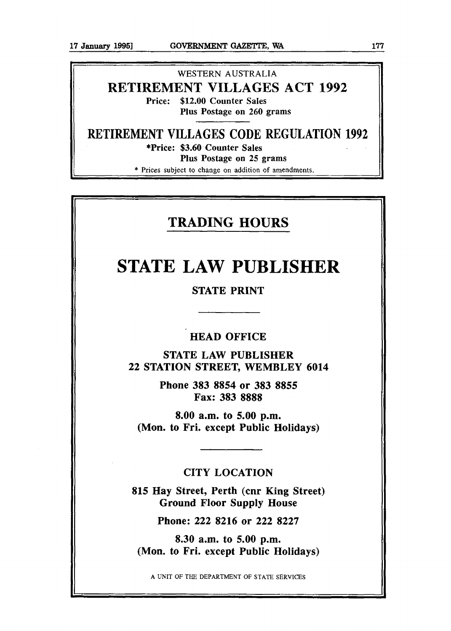## WESTERN **AUSTRALIA RETIREMENT VILLAGES ACT 1992**  Price: \$12.00 Counter Sales Plus Postage on 260 grams

**RETIREMENT VILLAGES CODE REGULATION 1992**  \*Price: \$3.60 Counter Sales Plus Postage on 25 grams

\* **Prices subject to** change on **addition of** amendments.

## **TRADING HOURS**

## **STATE LAW PUBLISHER**

## STATE PRINT

## HEAD OFFICE

STATE LAW PUBLISHER 22 STATION STREET, WEMBLEY 6014

> Phone 383 8854 or 383 **8855**  Fax: 383 8888

8.00 a.m. to 5.00 p.m. (Mon. to Fri. except Public Holidays)

## CITY LOCATION

815 Hay Street, Perth (cnr King Street) Ground Floor Supply House

Phone: 222 8216 or 222 8227

8.30 a.m. to 5.00 pm. (Mon. to Fri. except Public Holidays)

**A** UNIT OF THE **DEPARTMENT** OF STATE **SERVICES**